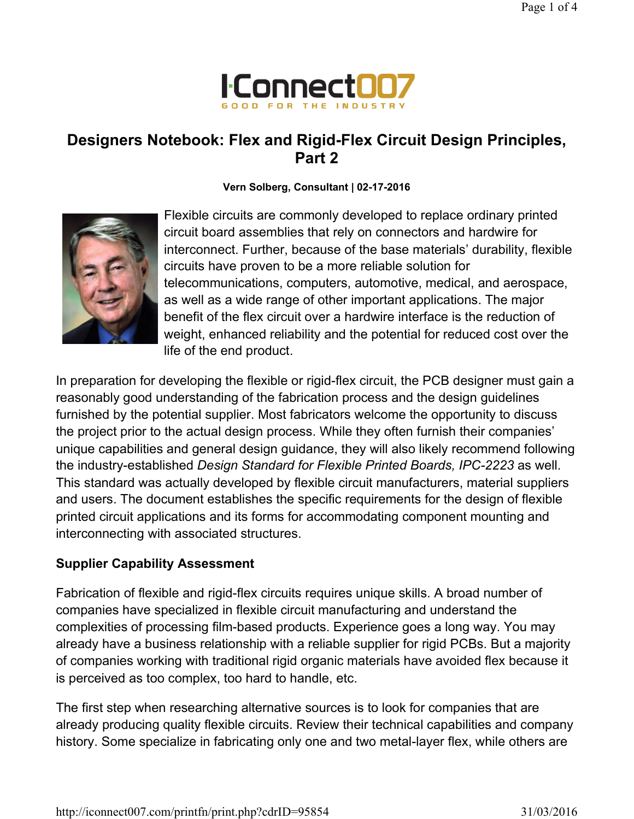

# Designers Notebook: Flex and Rigid-Flex Circuit Design Principles, Part 2

### Vern Solberg, Consultant | 02-17-2016



Flexible circuits are commonly developed to replace ordinary printed circuit board assemblies that rely on connectors and hardwire for interconnect. Further, because of the base materials' durability, flexible circuits have proven to be a more reliable solution for telecommunications, computers, automotive, medical, and aerospace, as well as a wide range of other important applications. The major benefit of the flex circuit over a hardwire interface is the reduction of weight, enhanced reliability and the potential for reduced cost over the life of the end product.

In preparation for developing the flexible or rigid-flex circuit, the PCB designer must gain a reasonably good understanding of the fabrication process and the design guidelines furnished by the potential supplier. Most fabricators welcome the opportunity to discuss the project prior to the actual design process. While they often furnish their companies' unique capabilities and general design guidance, they will also likely recommend following the industry-established Design Standard for Flexible Printed Boards, IPC-2223 as well. This standard was actually developed by flexible circuit manufacturers, material suppliers and users. The document establishes the specific requirements for the design of flexible printed circuit applications and its forms for accommodating component mounting and interconnecting with associated structures.

## Supplier Capability Assessment

Fabrication of flexible and rigid-flex circuits requires unique skills. A broad number of companies have specialized in flexible circuit manufacturing and understand the complexities of processing film-based products. Experience goes a long way. You may already have a business relationship with a reliable supplier for rigid PCBs. But a majority of companies working with traditional rigid organic materials have avoided flex because it is perceived as too complex, too hard to handle, etc.

The first step when researching alternative sources is to look for companies that are already producing quality flexible circuits. Review their technical capabilities and company history. Some specialize in fabricating only one and two metal-layer flex, while others are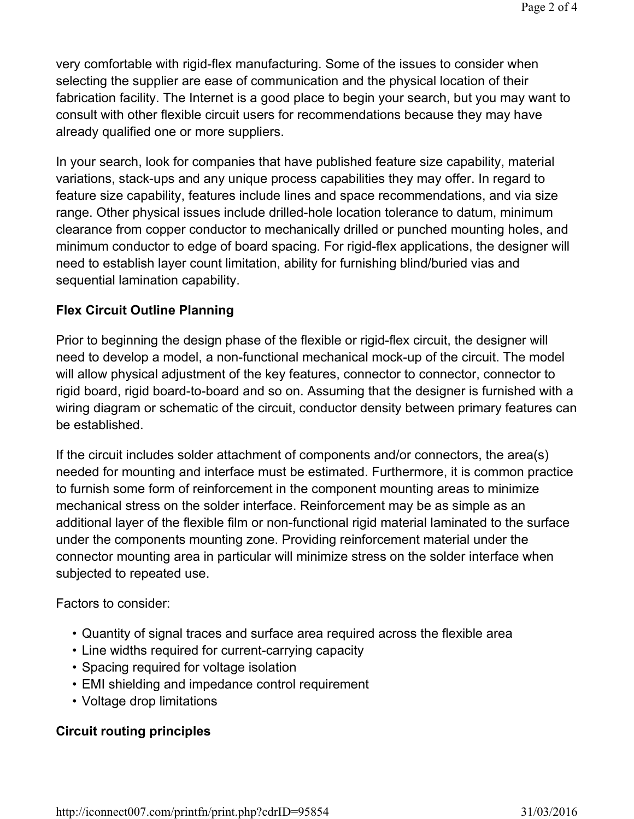very comfortable with rigid-flex manufacturing. Some of the issues to consider when selecting the supplier are ease of communication and the physical location of their fabrication facility. The Internet is a good place to begin your search, but you may want to consult with other flexible circuit users for recommendations because they may have already qualified one or more suppliers.

In your search, look for companies that have published feature size capability, material variations, stack-ups and any unique process capabilities they may offer. In regard to feature size capability, features include lines and space recommendations, and via size range. Other physical issues include drilled-hole location tolerance to datum, minimum clearance from copper conductor to mechanically drilled or punched mounting holes, and minimum conductor to edge of board spacing. For rigid-flex applications, the designer will need to establish layer count limitation, ability for furnishing blind/buried vias and sequential lamination capability.

## Flex Circuit Outline Planning

Prior to beginning the design phase of the flexible or rigid-flex circuit, the designer will need to develop a model, a non-functional mechanical mock-up of the circuit. The model will allow physical adjustment of the key features, connector to connector, connector to rigid board, rigid board-to-board and so on. Assuming that the designer is furnished with a wiring diagram or schematic of the circuit, conductor density between primary features can be established.

If the circuit includes solder attachment of components and/or connectors, the area(s) needed for mounting and interface must be estimated. Furthermore, it is common practice to furnish some form of reinforcement in the component mounting areas to minimize mechanical stress on the solder interface. Reinforcement may be as simple as an additional layer of the flexible film or non-functional rigid material laminated to the surface under the components mounting zone. Providing reinforcement material under the connector mounting area in particular will minimize stress on the solder interface when subjected to repeated use.

Factors to consider:

- Quantity of signal traces and surface area required across the flexible area
- Line widths required for current-carrying capacity
- Spacing required for voltage isolation
- EMI shielding and impedance control requirement
- Voltage drop limitations

## Circuit routing principles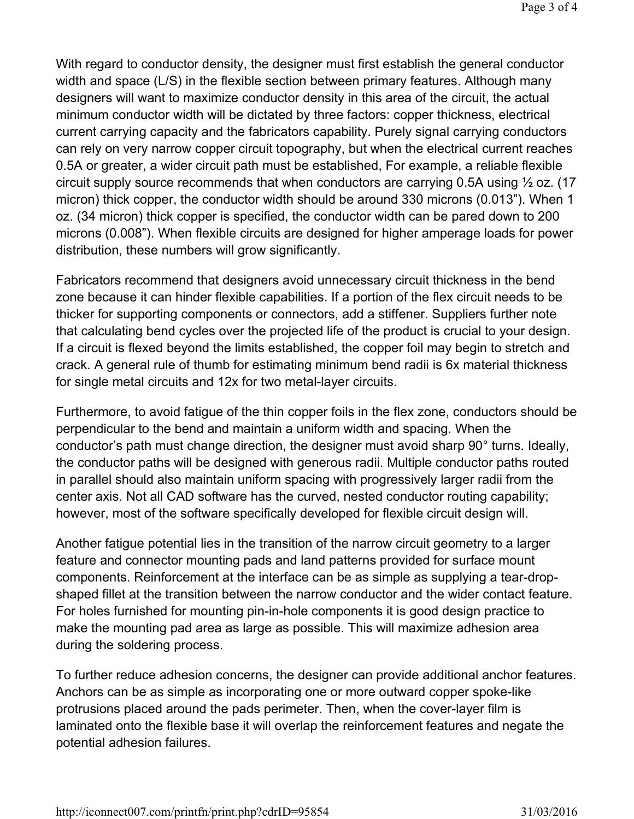With regard to conductor density, the designer must first establish the general conductor width and space (L/S) in the flexible section between primary features. Although many designers will want to maximize conductor density in this area of the circuit, the actual minimum conductor width will be dictated by three factors: copper thickness, electrical current carrying capacity and the fabricators capability. Purely signal carrying conductors can rely on very narrow copper circuit topography, but when the electrical current reaches 0.5A or greater, a wider circuit path must be established, For example, a reliable flexible circuit supply source recommends that when conductors are carrying 0.5A using ½ oz. (17 micron) thick copper, the conductor width should be around 330 microns (0.013"). When 1 oz. (34 micron) thick copper is specified, the conductor width can be pared down to 200 microns (0.008"). When flexible circuits are designed for higher amperage loads for power distribution, these numbers will grow significantly.

Fabricators recommend that designers avoid unnecessary circuit thickness in the bend zone because it can hinder flexible capabilities. If a portion of the flex circuit needs to be thicker for supporting components or connectors, add a stiffener. Suppliers further note that calculating bend cycles over the projected life of the product is crucial to your design. If a circuit is flexed beyond the limits established, the copper foil may begin to stretch and crack. A general rule of thumb for estimating minimum bend radii is 6x material thickness for single metal circuits and 12x for two metal-layer circuits.

Furthermore, to avoid fatigue of the thin copper foils in the flex zone, conductors should be perpendicular to the bend and maintain a uniform width and spacing. When the conductor's path must change direction, the designer must avoid sharp 90° turns. Ideally, the conductor paths will be designed with generous radii. Multiple conductor paths routed in parallel should also maintain uniform spacing with progressively larger radii from the center axis. Not all CAD software has the curved, nested conductor routing capability; however, most of the software specifically developed for flexible circuit design will.

Another fatigue potential lies in the transition of the narrow circuit geometry to a larger feature and connector mounting pads and land patterns provided for surface mount components. Reinforcement at the interface can be as simple as supplying a tear-dropshaped fillet at the transition between the narrow conductor and the wider contact feature. For holes furnished for mounting pin-in-hole components it is good design practice to make the mounting pad area as large as possible. This will maximize adhesion area during the soldering process.

To further reduce adhesion concerns, the designer can provide additional anchor features. Anchors can be as simple as incorporating one or more outward copper spoke-like protrusions placed around the pads perimeter. Then, when the cover-layer film is laminated onto the flexible base it will overlap the reinforcement features and negate the potential adhesion failures.